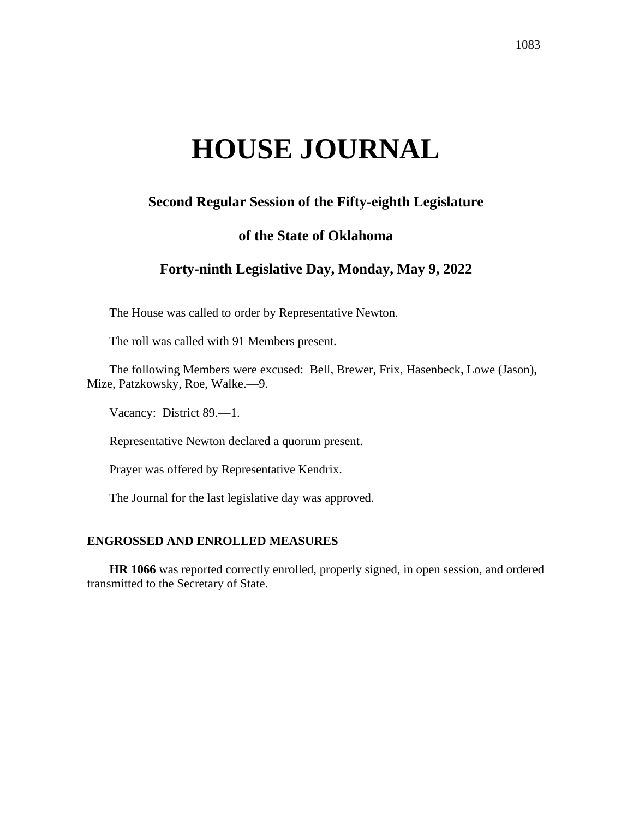# **HOUSE JOURNAL**

# **Second Regular Session of the Fifty-eighth Legislature**

# **of the State of Oklahoma**

# **Forty-ninth Legislative Day, Monday, May 9, 2022**

The House was called to order by Representative Newton.

The roll was called with 91 Members present.

The following Members were excused: Bell, Brewer, Frix, Hasenbeck, Lowe (Jason), Mize, Patzkowsky, Roe, Walke.—9.

Vacancy: District 89.—1.

Representative Newton declared a quorum present.

Prayer was offered by Representative Kendrix.

The Journal for the last legislative day was approved.

### **ENGROSSED AND ENROLLED MEASURES**

**HR 1066** was reported correctly enrolled, properly signed, in open session, and ordered transmitted to the Secretary of State.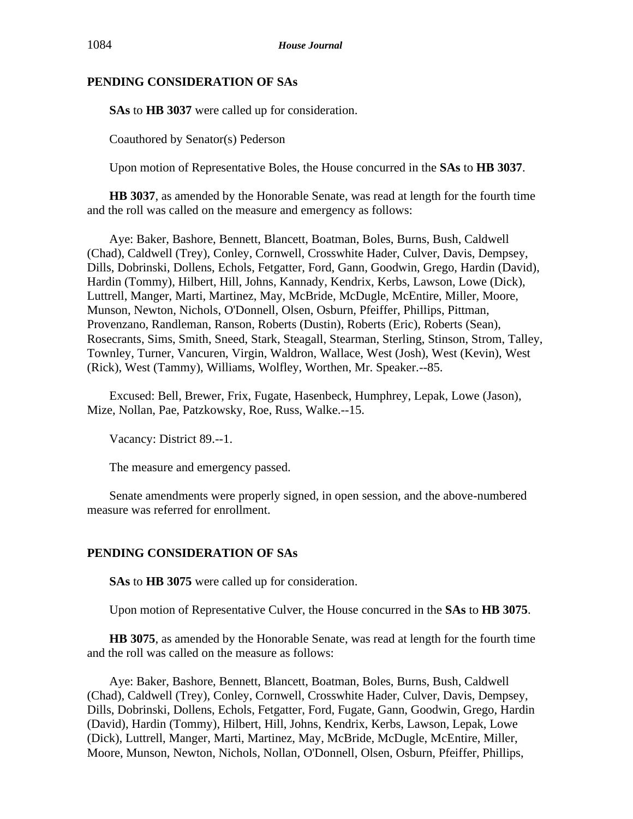## **PENDING CONSIDERATION OF SAs**

**SAs** to **HB 3037** were called up for consideration.

Coauthored by Senator(s) Pederson

Upon motion of Representative Boles, the House concurred in the **SAs** to **HB 3037**.

**HB 3037**, as amended by the Honorable Senate, was read at length for the fourth time and the roll was called on the measure and emergency as follows:

Aye: Baker, Bashore, Bennett, Blancett, Boatman, Boles, Burns, Bush, Caldwell (Chad), Caldwell (Trey), Conley, Cornwell, Crosswhite Hader, Culver, Davis, Dempsey, Dills, Dobrinski, Dollens, Echols, Fetgatter, Ford, Gann, Goodwin, Grego, Hardin (David), Hardin (Tommy), Hilbert, Hill, Johns, Kannady, Kendrix, Kerbs, Lawson, Lowe (Dick), Luttrell, Manger, Marti, Martinez, May, McBride, McDugle, McEntire, Miller, Moore, Munson, Newton, Nichols, O'Donnell, Olsen, Osburn, Pfeiffer, Phillips, Pittman, Provenzano, Randleman, Ranson, Roberts (Dustin), Roberts (Eric), Roberts (Sean), Rosecrants, Sims, Smith, Sneed, Stark, Steagall, Stearman, Sterling, Stinson, Strom, Talley, Townley, Turner, Vancuren, Virgin, Waldron, Wallace, West (Josh), West (Kevin), West (Rick), West (Tammy), Williams, Wolfley, Worthen, Mr. Speaker.--85.

Excused: Bell, Brewer, Frix, Fugate, Hasenbeck, Humphrey, Lepak, Lowe (Jason), Mize, Nollan, Pae, Patzkowsky, Roe, Russ, Walke.--15.

Vacancy: District 89.--1.

The measure and emergency passed.

Senate amendments were properly signed, in open session, and the above-numbered measure was referred for enrollment.

# **PENDING CONSIDERATION OF SAs**

**SAs** to **HB 3075** were called up for consideration.

Upon motion of Representative Culver, the House concurred in the **SAs** to **HB 3075**.

**HB 3075**, as amended by the Honorable Senate, was read at length for the fourth time and the roll was called on the measure as follows:

Aye: Baker, Bashore, Bennett, Blancett, Boatman, Boles, Burns, Bush, Caldwell (Chad), Caldwell (Trey), Conley, Cornwell, Crosswhite Hader, Culver, Davis, Dempsey, Dills, Dobrinski, Dollens, Echols, Fetgatter, Ford, Fugate, Gann, Goodwin, Grego, Hardin (David), Hardin (Tommy), Hilbert, Hill, Johns, Kendrix, Kerbs, Lawson, Lepak, Lowe (Dick), Luttrell, Manger, Marti, Martinez, May, McBride, McDugle, McEntire, Miller, Moore, Munson, Newton, Nichols, Nollan, O'Donnell, Olsen, Osburn, Pfeiffer, Phillips,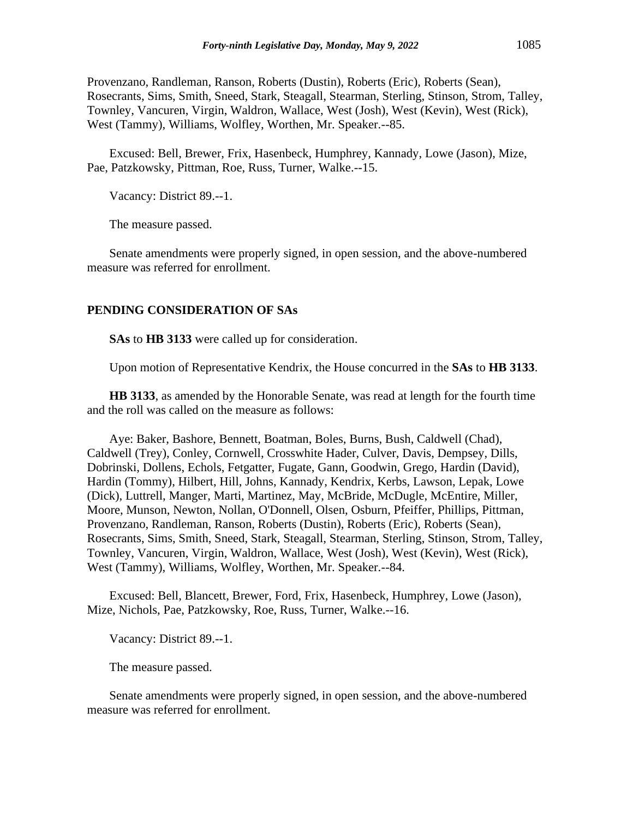Provenzano, Randleman, Ranson, Roberts (Dustin), Roberts (Eric), Roberts (Sean), Rosecrants, Sims, Smith, Sneed, Stark, Steagall, Stearman, Sterling, Stinson, Strom, Talley, Townley, Vancuren, Virgin, Waldron, Wallace, West (Josh), West (Kevin), West (Rick), West (Tammy), Williams, Wolfley, Worthen, Mr. Speaker.--85.

Excused: Bell, Brewer, Frix, Hasenbeck, Humphrey, Kannady, Lowe (Jason), Mize, Pae, Patzkowsky, Pittman, Roe, Russ, Turner, Walke.--15.

Vacancy: District 89.--1.

The measure passed.

Senate amendments were properly signed, in open session, and the above-numbered measure was referred for enrollment.

#### **PENDING CONSIDERATION OF SAs**

**SAs** to **HB 3133** were called up for consideration.

Upon motion of Representative Kendrix, the House concurred in the **SAs** to **HB 3133**.

**HB 3133**, as amended by the Honorable Senate, was read at length for the fourth time and the roll was called on the measure as follows:

Aye: Baker, Bashore, Bennett, Boatman, Boles, Burns, Bush, Caldwell (Chad), Caldwell (Trey), Conley, Cornwell, Crosswhite Hader, Culver, Davis, Dempsey, Dills, Dobrinski, Dollens, Echols, Fetgatter, Fugate, Gann, Goodwin, Grego, Hardin (David), Hardin (Tommy), Hilbert, Hill, Johns, Kannady, Kendrix, Kerbs, Lawson, Lepak, Lowe (Dick), Luttrell, Manger, Marti, Martinez, May, McBride, McDugle, McEntire, Miller, Moore, Munson, Newton, Nollan, O'Donnell, Olsen, Osburn, Pfeiffer, Phillips, Pittman, Provenzano, Randleman, Ranson, Roberts (Dustin), Roberts (Eric), Roberts (Sean), Rosecrants, Sims, Smith, Sneed, Stark, Steagall, Stearman, Sterling, Stinson, Strom, Talley, Townley, Vancuren, Virgin, Waldron, Wallace, West (Josh), West (Kevin), West (Rick), West (Tammy), Williams, Wolfley, Worthen, Mr. Speaker.--84.

Excused: Bell, Blancett, Brewer, Ford, Frix, Hasenbeck, Humphrey, Lowe (Jason), Mize, Nichols, Pae, Patzkowsky, Roe, Russ, Turner, Walke.--16.

Vacancy: District 89.--1.

The measure passed.

Senate amendments were properly signed, in open session, and the above-numbered measure was referred for enrollment.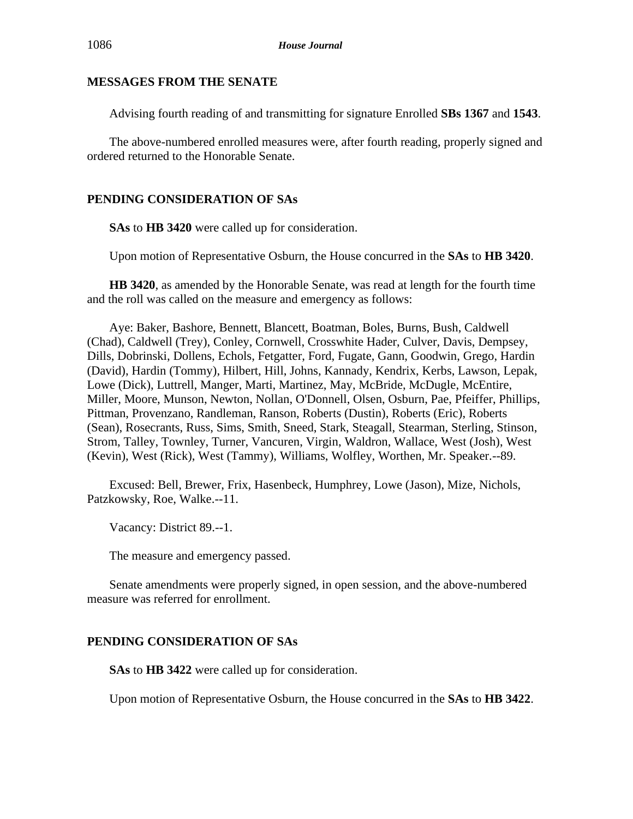#### **MESSAGES FROM THE SENATE**

Advising fourth reading of and transmitting for signature Enrolled **SBs 1367** and **1543**.

The above-numbered enrolled measures were, after fourth reading, properly signed and ordered returned to the Honorable Senate.

# **PENDING CONSIDERATION OF SAs**

**SAs** to **HB 3420** were called up for consideration.

Upon motion of Representative Osburn, the House concurred in the **SAs** to **HB 3420**.

**HB 3420**, as amended by the Honorable Senate, was read at length for the fourth time and the roll was called on the measure and emergency as follows:

Aye: Baker, Bashore, Bennett, Blancett, Boatman, Boles, Burns, Bush, Caldwell (Chad), Caldwell (Trey), Conley, Cornwell, Crosswhite Hader, Culver, Davis, Dempsey, Dills, Dobrinski, Dollens, Echols, Fetgatter, Ford, Fugate, Gann, Goodwin, Grego, Hardin (David), Hardin (Tommy), Hilbert, Hill, Johns, Kannady, Kendrix, Kerbs, Lawson, Lepak, Lowe (Dick), Luttrell, Manger, Marti, Martinez, May, McBride, McDugle, McEntire, Miller, Moore, Munson, Newton, Nollan, O'Donnell, Olsen, Osburn, Pae, Pfeiffer, Phillips, Pittman, Provenzano, Randleman, Ranson, Roberts (Dustin), Roberts (Eric), Roberts (Sean), Rosecrants, Russ, Sims, Smith, Sneed, Stark, Steagall, Stearman, Sterling, Stinson, Strom, Talley, Townley, Turner, Vancuren, Virgin, Waldron, Wallace, West (Josh), West (Kevin), West (Rick), West (Tammy), Williams, Wolfley, Worthen, Mr. Speaker.--89.

Excused: Bell, Brewer, Frix, Hasenbeck, Humphrey, Lowe (Jason), Mize, Nichols, Patzkowsky, Roe, Walke.--11.

Vacancy: District 89.--1.

The measure and emergency passed.

Senate amendments were properly signed, in open session, and the above-numbered measure was referred for enrollment.

# **PENDING CONSIDERATION OF SAs**

**SAs** to **HB 3422** were called up for consideration.

Upon motion of Representative Osburn, the House concurred in the **SAs** to **HB 3422**.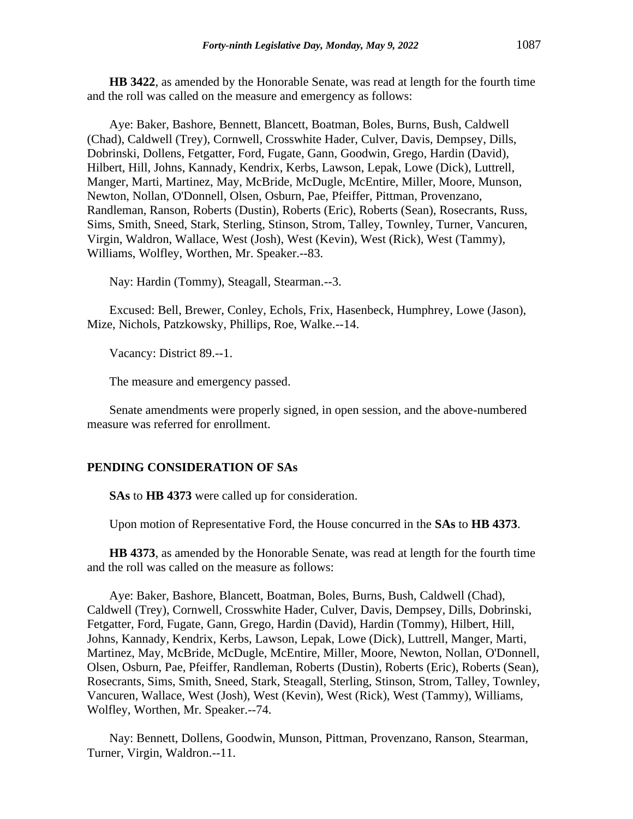**HB 3422**, as amended by the Honorable Senate, was read at length for the fourth time and the roll was called on the measure and emergency as follows:

Aye: Baker, Bashore, Bennett, Blancett, Boatman, Boles, Burns, Bush, Caldwell (Chad), Caldwell (Trey), Cornwell, Crosswhite Hader, Culver, Davis, Dempsey, Dills, Dobrinski, Dollens, Fetgatter, Ford, Fugate, Gann, Goodwin, Grego, Hardin (David), Hilbert, Hill, Johns, Kannady, Kendrix, Kerbs, Lawson, Lepak, Lowe (Dick), Luttrell, Manger, Marti, Martinez, May, McBride, McDugle, McEntire, Miller, Moore, Munson, Newton, Nollan, O'Donnell, Olsen, Osburn, Pae, Pfeiffer, Pittman, Provenzano, Randleman, Ranson, Roberts (Dustin), Roberts (Eric), Roberts (Sean), Rosecrants, Russ, Sims, Smith, Sneed, Stark, Sterling, Stinson, Strom, Talley, Townley, Turner, Vancuren, Virgin, Waldron, Wallace, West (Josh), West (Kevin), West (Rick), West (Tammy), Williams, Wolfley, Worthen, Mr. Speaker.--83.

Nay: Hardin (Tommy), Steagall, Stearman.--3.

Excused: Bell, Brewer, Conley, Echols, Frix, Hasenbeck, Humphrey, Lowe (Jason), Mize, Nichols, Patzkowsky, Phillips, Roe, Walke.--14.

Vacancy: District 89.--1.

The measure and emergency passed.

Senate amendments were properly signed, in open session, and the above-numbered measure was referred for enrollment.

#### **PENDING CONSIDERATION OF SAs**

**SAs** to **HB 4373** were called up for consideration.

Upon motion of Representative Ford, the House concurred in the **SAs** to **HB 4373**.

**HB 4373**, as amended by the Honorable Senate, was read at length for the fourth time and the roll was called on the measure as follows:

Aye: Baker, Bashore, Blancett, Boatman, Boles, Burns, Bush, Caldwell (Chad), Caldwell (Trey), Cornwell, Crosswhite Hader, Culver, Davis, Dempsey, Dills, Dobrinski, Fetgatter, Ford, Fugate, Gann, Grego, Hardin (David), Hardin (Tommy), Hilbert, Hill, Johns, Kannady, Kendrix, Kerbs, Lawson, Lepak, Lowe (Dick), Luttrell, Manger, Marti, Martinez, May, McBride, McDugle, McEntire, Miller, Moore, Newton, Nollan, O'Donnell, Olsen, Osburn, Pae, Pfeiffer, Randleman, Roberts (Dustin), Roberts (Eric), Roberts (Sean), Rosecrants, Sims, Smith, Sneed, Stark, Steagall, Sterling, Stinson, Strom, Talley, Townley, Vancuren, Wallace, West (Josh), West (Kevin), West (Rick), West (Tammy), Williams, Wolfley, Worthen, Mr. Speaker.--74.

Nay: Bennett, Dollens, Goodwin, Munson, Pittman, Provenzano, Ranson, Stearman, Turner, Virgin, Waldron.--11.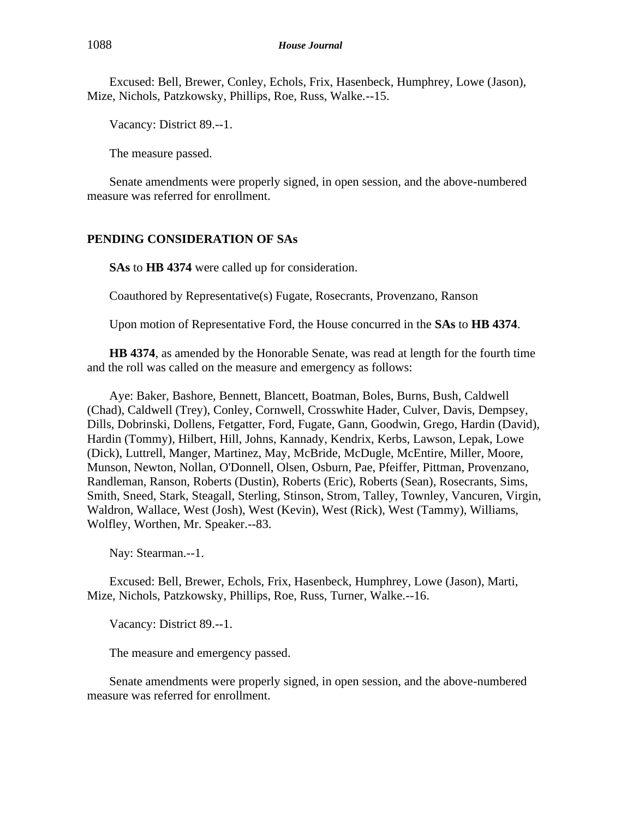Excused: Bell, Brewer, Conley, Echols, Frix, Hasenbeck, Humphrey, Lowe (Jason), Mize, Nichols, Patzkowsky, Phillips, Roe, Russ, Walke.--15.

Vacancy: District 89.--1.

The measure passed.

Senate amendments were properly signed, in open session, and the above-numbered measure was referred for enrollment.

# **PENDING CONSIDERATION OF SAs**

**SAs** to **HB 4374** were called up for consideration.

Coauthored by Representative(s) Fugate, Rosecrants, Provenzano, Ranson

Upon motion of Representative Ford, the House concurred in the **SAs** to **HB 4374**.

**HB 4374**, as amended by the Honorable Senate, was read at length for the fourth time and the roll was called on the measure and emergency as follows:

Aye: Baker, Bashore, Bennett, Blancett, Boatman, Boles, Burns, Bush, Caldwell (Chad), Caldwell (Trey), Conley, Cornwell, Crosswhite Hader, Culver, Davis, Dempsey, Dills, Dobrinski, Dollens, Fetgatter, Ford, Fugate, Gann, Goodwin, Grego, Hardin (David), Hardin (Tommy), Hilbert, Hill, Johns, Kannady, Kendrix, Kerbs, Lawson, Lepak, Lowe (Dick), Luttrell, Manger, Martinez, May, McBride, McDugle, McEntire, Miller, Moore, Munson, Newton, Nollan, O'Donnell, Olsen, Osburn, Pae, Pfeiffer, Pittman, Provenzano, Randleman, Ranson, Roberts (Dustin), Roberts (Eric), Roberts (Sean), Rosecrants, Sims, Smith, Sneed, Stark, Steagall, Sterling, Stinson, Strom, Talley, Townley, Vancuren, Virgin, Waldron, Wallace, West (Josh), West (Kevin), West (Rick), West (Tammy), Williams, Wolfley, Worthen, Mr. Speaker.--83.

Nay: Stearman.--1.

Excused: Bell, Brewer, Echols, Frix, Hasenbeck, Humphrey, Lowe (Jason), Marti, Mize, Nichols, Patzkowsky, Phillips, Roe, Russ, Turner, Walke.--16.

Vacancy: District 89.--1.

The measure and emergency passed.

Senate amendments were properly signed, in open session, and the above-numbered measure was referred for enrollment.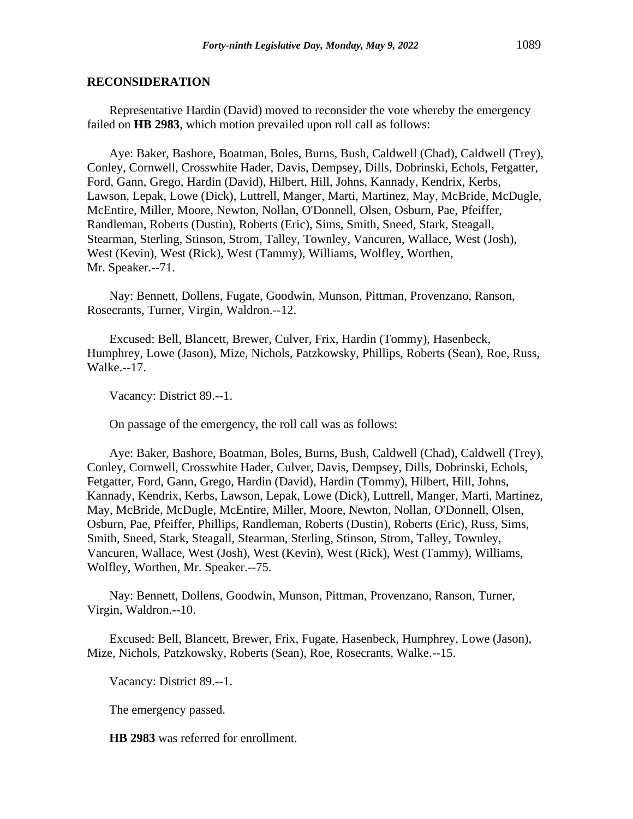#### **RECONSIDERATION**

Representative Hardin (David) moved to reconsider the vote whereby the emergency failed on **HB 2983**, which motion prevailed upon roll call as follows:

Aye: Baker, Bashore, Boatman, Boles, Burns, Bush, Caldwell (Chad), Caldwell (Trey), Conley, Cornwell, Crosswhite Hader, Davis, Dempsey, Dills, Dobrinski, Echols, Fetgatter, Ford, Gann, Grego, Hardin (David), Hilbert, Hill, Johns, Kannady, Kendrix, Kerbs, Lawson, Lepak, Lowe (Dick), Luttrell, Manger, Marti, Martinez, May, McBride, McDugle, McEntire, Miller, Moore, Newton, Nollan, O'Donnell, Olsen, Osburn, Pae, Pfeiffer, Randleman, Roberts (Dustin), Roberts (Eric), Sims, Smith, Sneed, Stark, Steagall, Stearman, Sterling, Stinson, Strom, Talley, Townley, Vancuren, Wallace, West (Josh), West (Kevin), West (Rick), West (Tammy), Williams, Wolfley, Worthen, Mr. Speaker.--71.

Nay: Bennett, Dollens, Fugate, Goodwin, Munson, Pittman, Provenzano, Ranson, Rosecrants, Turner, Virgin, Waldron.--12.

Excused: Bell, Blancett, Brewer, Culver, Frix, Hardin (Tommy), Hasenbeck, Humphrey, Lowe (Jason), Mize, Nichols, Patzkowsky, Phillips, Roberts (Sean), Roe, Russ, Walke.--17.

Vacancy: District 89.--1.

On passage of the emergency, the roll call was as follows:

Aye: Baker, Bashore, Boatman, Boles, Burns, Bush, Caldwell (Chad), Caldwell (Trey), Conley, Cornwell, Crosswhite Hader, Culver, Davis, Dempsey, Dills, Dobrinski, Echols, Fetgatter, Ford, Gann, Grego, Hardin (David), Hardin (Tommy), Hilbert, Hill, Johns, Kannady, Kendrix, Kerbs, Lawson, Lepak, Lowe (Dick), Luttrell, Manger, Marti, Martinez, May, McBride, McDugle, McEntire, Miller, Moore, Newton, Nollan, O'Donnell, Olsen, Osburn, Pae, Pfeiffer, Phillips, Randleman, Roberts (Dustin), Roberts (Eric), Russ, Sims, Smith, Sneed, Stark, Steagall, Stearman, Sterling, Stinson, Strom, Talley, Townley, Vancuren, Wallace, West (Josh), West (Kevin), West (Rick), West (Tammy), Williams, Wolfley, Worthen, Mr. Speaker.--75.

Nay: Bennett, Dollens, Goodwin, Munson, Pittman, Provenzano, Ranson, Turner, Virgin, Waldron.--10.

Excused: Bell, Blancett, Brewer, Frix, Fugate, Hasenbeck, Humphrey, Lowe (Jason), Mize, Nichols, Patzkowsky, Roberts (Sean), Roe, Rosecrants, Walke.--15.

Vacancy: District 89.--1.

The emergency passed.

**HB 2983** was referred for enrollment.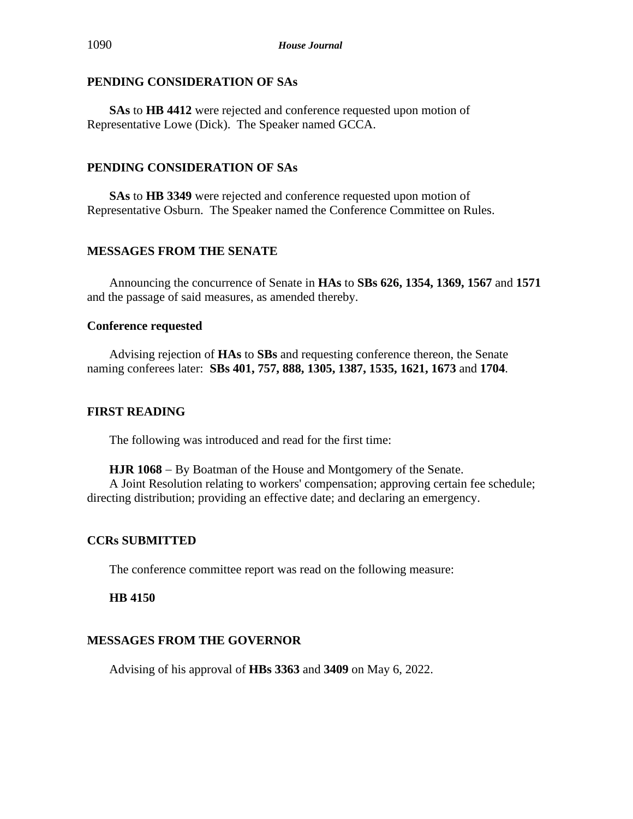## **PENDING CONSIDERATION OF SAs**

**SAs** to **HB 4412** were rejected and conference requested upon motion of Representative Lowe (Dick). The Speaker named GCCA.

# **PENDING CONSIDERATION OF SAs**

**SAs** to **HB 3349** were rejected and conference requested upon motion of Representative Osburn. The Speaker named the Conference Committee on Rules.

# **MESSAGES FROM THE SENATE**

Announcing the concurrence of Senate in **HAs** to **SBs 626, 1354, 1369, 1567** and **1571** and the passage of said measures, as amended thereby.

## **Conference requested**

Advising rejection of **HAs** to **SBs** and requesting conference thereon, the Senate naming conferees later: **SBs 401, 757, 888, 1305, 1387, 1535, 1621, 1673** and **1704**.

# **FIRST READING**

The following was introduced and read for the first time:

**HJR 1068** − By Boatman of the House and Montgomery of the Senate. A Joint Resolution relating to workers' compensation; approving certain fee schedule; directing distribution; providing an effective date; and declaring an emergency.

# **CCRs SUBMITTED**

The conference committee report was read on the following measure:

**HB 4150**

# **MESSAGES FROM THE GOVERNOR**

Advising of his approval of **HBs 3363** and **3409** on May 6, 2022.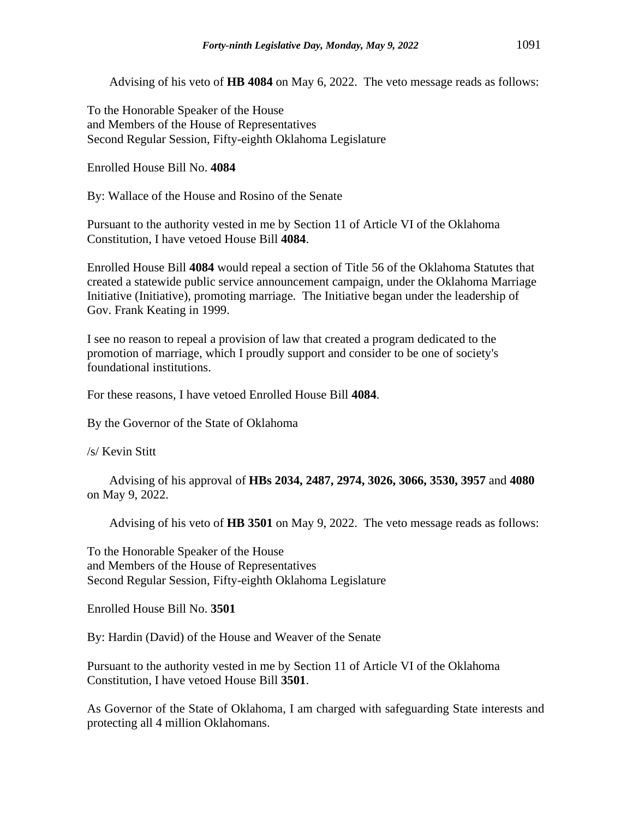Advising of his veto of **HB 4084** on May 6, 2022. The veto message reads as follows:

To the Honorable Speaker of the House and Members of the House of Representatives Second Regular Session, Fifty-eighth Oklahoma Legislature

Enrolled House Bill No. **4084**

By: Wallace of the House and Rosino of the Senate

Pursuant to the authority vested in me by Section 11 of Article VI of the Oklahoma Constitution, I have vetoed House Bill **4084**.

Enrolled House Bill **4084** would repeal a section of Title 56 of the Oklahoma Statutes that created a statewide public service announcement campaign, under the Oklahoma Marriage Initiative (Initiative), promoting marriage. The Initiative began under the leadership of Gov. Frank Keating in 1999.

I see no reason to repeal a provision of law that created a program dedicated to the promotion of marriage, which I proudly support and consider to be one of society's foundational institutions.

For these reasons, I have vetoed Enrolled House Bill **4084**.

By the Governor of the State of Oklahoma

/s/ Kevin Stitt

Advising of his approval of **HBs 2034, 2487, 2974, 3026, 3066, 3530, 3957** and **4080** on May 9, 2022.

Advising of his veto of **HB 3501** on May 9, 2022. The veto message reads as follows:

To the Honorable Speaker of the House and Members of the House of Representatives Second Regular Session, Fifty-eighth Oklahoma Legislature

Enrolled House Bill No. **3501**

By: Hardin (David) of the House and Weaver of the Senate

Pursuant to the authority vested in me by Section 11 of Article VI of the Oklahoma Constitution, I have vetoed House Bill **3501**.

As Governor of the State of Oklahoma, I am charged with safeguarding State interests and protecting all 4 million Oklahomans.